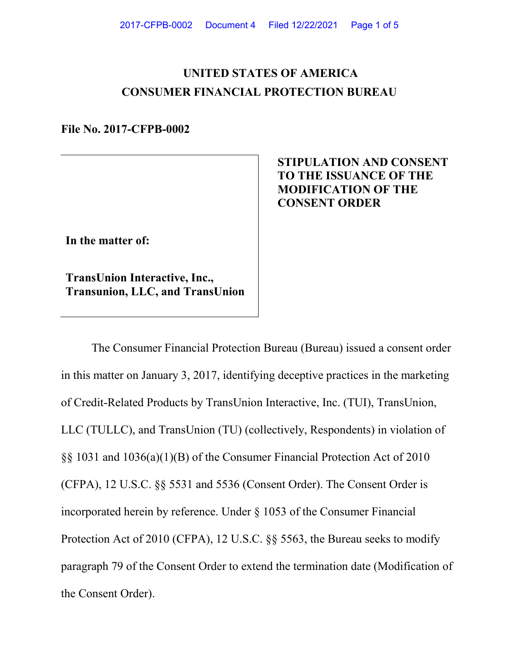# **UNITED STATES OF AMERICA CONSUMER FINANCIAL PROTECTION BUREAU**

**File No. 2017-CFPB-0002**

## **STIPULATION AND CONSENT TO THE ISSUANCE OF THE MODIFICATION OF THE CONSENT ORDER**

**In the matter of:** 

**TransUnion Interactive, Inc., Transunion, LLC, and TransUnion**

The Consumer Financial Protection Bureau (Bureau) issued a consent order in this matter on January 3, 2017, identifying deceptive practices in the marketing of Credit-Related Products by TransUnion Interactive, Inc. (TUI), TransUnion, LLC (TULLC), and TransUnion (TU) (collectively, Respondents) in violation of §§ 1031 and 1036(a)(1)(B) of the Consumer Financial Protection Act of 2010 (CFPA), 12 U.S.C. §§ 5531 and 5536 (Consent Order). The Consent Order is incorporated herein by reference. Under § 1053 of the Consumer Financial Protection Act of 2010 (CFPA), 12 U.S.C. §§ 5563, the Bureau seeks to modify paragraph 79 of the Consent Order to extend the termination date (Modification of the Consent Order).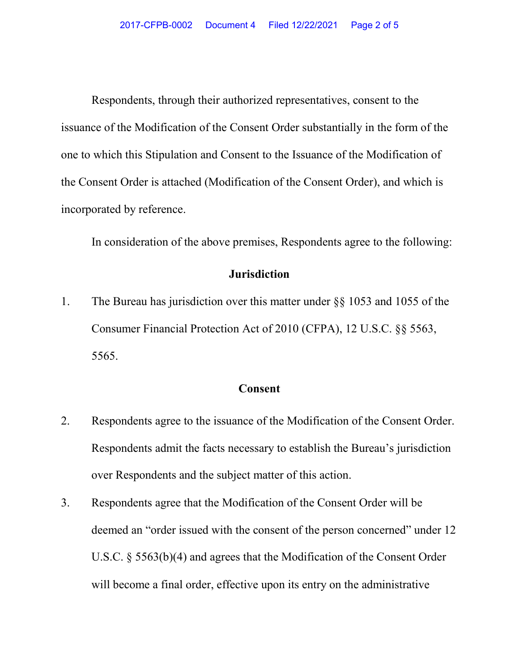Respondents, through their authorized representatives, consent to the issuance of the Modification of the Consent Order substantially in the form of the one to which this Stipulation and Consent to the Issuance of the Modification of the Consent Order is attached (Modification of the Consent Order), and which is incorporated by reference.

In consideration of the above premises, Respondents agree to the following:

#### **Jurisdiction**

1. The Bureau has jurisdiction over this matter under §§ 1053 and 1055 of the Consumer Financial Protection Act of 2010 (CFPA), 12 U.S.C. §§ 5563, 5565.

### **Consent**

- 2. Respondents agree to the issuance of the Modification of the Consent Order. Respondents admit the facts necessary to establish the Bureau's jurisdiction over Respondents and the subject matter of this action.
- 3. Respondents agree that the Modification of the Consent Order will be deemed an "order issued with the consent of the person concerned" under 12 U.S.C. § 5563(b)(4) and agrees that the Modification of the Consent Order will become a final order, effective upon its entry on the administrative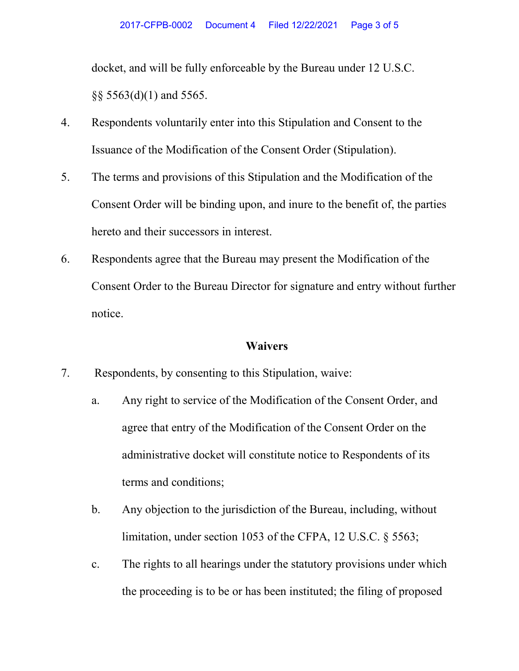docket, and will be fully enforceable by the Bureau under 12 U.S.C. §§ 5563(d)(1) and 5565.

- 4. Respondents voluntarily enter into this Stipulation and Consent to the Issuance of the Modification of the Consent Order (Stipulation).
- 5. The terms and provisions of this Stipulation and the Modification of the Consent Order will be binding upon, and inure to the benefit of, the parties hereto and their successors in interest.
- 6. Respondents agree that the Bureau may present the Modification of the Consent Order to the Bureau Director for signature and entry without further notice.

#### **Waivers**

- 7. Respondents, by consenting to this Stipulation, waive:
	- a. Any right to service of the Modification of the Consent Order, and agree that entry of the Modification of the Consent Order on the administrative docket will constitute notice to Respondents of its terms and conditions;
	- b. Any objection to the jurisdiction of the Bureau, including, without limitation, under section 1053 of the CFPA, 12 U.S.C. § 5563;
	- c. The rights to all hearings under the statutory provisions under which the proceeding is to be or has been instituted; the filing of proposed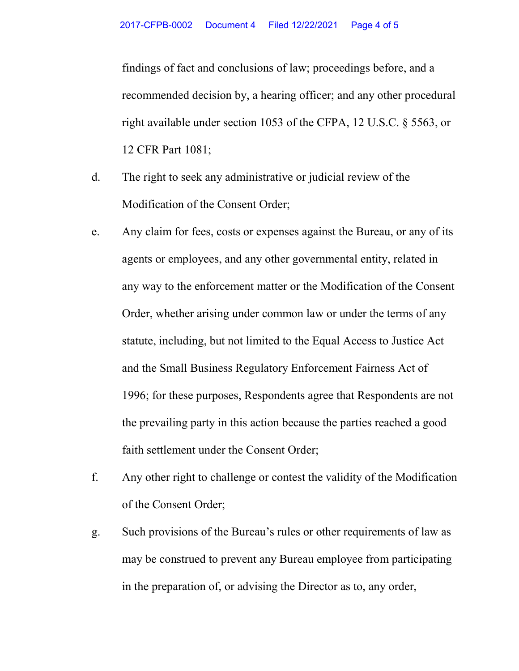findings of fact and conclusions of law; proceedings before, and a recommended decision by, a hearing officer; and any other procedural right available under section 1053 of the CFPA, 12 U.S.C. § 5563, or 12 CFR Part 1081;

- d. The right to seek any administrative or judicial review of the Modification of the Consent Order;
- e. Any claim for fees, costs or expenses against the Bureau, or any of its agents or employees, and any other governmental entity, related in any way to the enforcement matter or the Modification of the Consent Order, whether arising under common law or under the terms of any statute, including, but not limited to the Equal Access to Justice Act and the Small Business Regulatory Enforcement Fairness Act of 1996; for these purposes, Respondents agree that Respondents are not the prevailing party in this action because the parties reached a good faith settlement under the Consent Order;
- f. Any other right to challenge or contest the validity of the Modification of the Consent Order;
- g. Such provisions of the Bureau's rules or other requirements of law as may be construed to prevent any Bureau employee from participating in the preparation of, or advising the Director as to, any order,